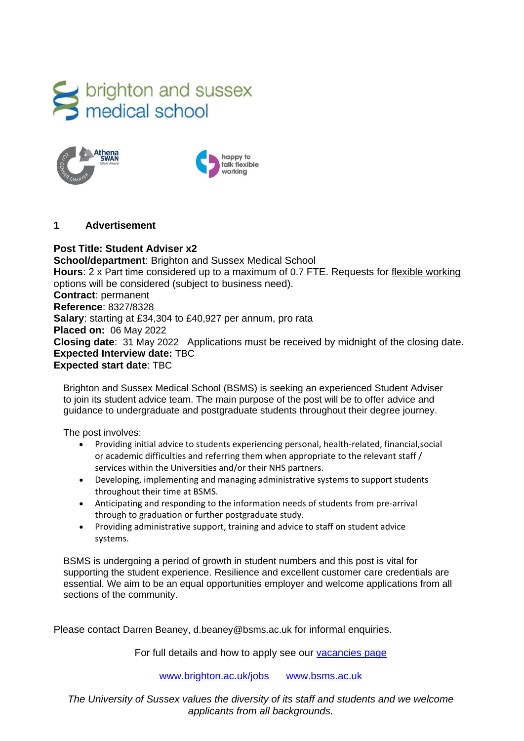





#### **1 Advertisement**

**Post Title: Student Adviser x2 School/department**: Brighton and Sussex Medical School **Hours**: 2 x Part time considered up to a maximum of 0.7 FTE. Requests for [flexible working](http://www.sussex.ac.uk/humanresources/personnel/flexible-working) options will be considered (subject to business need). **Contract**: permanent **Reference**: 8327/8328 **Salary**: starting at £34,304 to £40,927 per annum, pro rata **Placed on:** 06 May 2022 **Closing date**: 31 May 2022 Applications must be received by midnight of the closing date. **Expected Interview date:** TBC **Expected start date**: TBC

Brighton and Sussex Medical School (BSMS) is seeking an experienced Student Adviser to join its student advice team. The main purpose of the post will be to offer advice and guidance to undergraduate and postgraduate students throughout their degree journey.

The post involves:

- Providing initial advice to students experiencing personal, health-related, financial,social or academic difficulties and referring them when appropriate to the relevant staff / services within the Universities and/or their NHS partners.
- Developing, implementing and managing administrative systems to support students throughout their time at BSMS.
- Anticipating and responding to the information needs of students from pre-arrival through to graduation or further postgraduate study.
- Providing administrative support, training and advice to staff on student advice systems.

BSMS is undergoing a period of growth in student numbers and this post is vital for supporting the student experience. Resilience and excellent customer care credentials are essential. We aim to be an equal opportunities employer and welcome applications from all sections of the community.

Please contact Darren Beaney, d.beaney@bsms.ac.uk for informal enquiries.

For full details and how to apply see our [vacancies page](http://www.sussex.ac.uk/about/jobs)

[www.brighton.ac.uk/jobs](http://www.brighton.ac.uk/jobs) [www.bsms.ac.uk](http://www.bsms.ac.uk/)

*The University of Sussex values the diversity of its staff and students and we welcome applicants from all backgrounds.*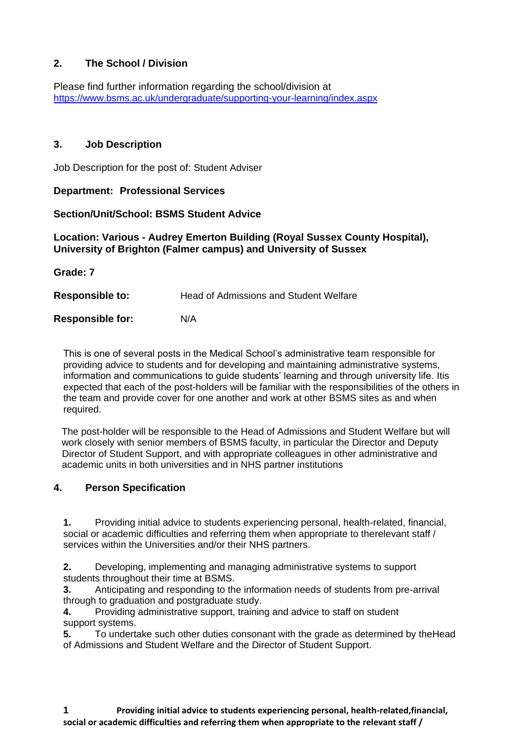## **2. The School / Division**

Please find further information regarding the school/division at <https://www.bsms.ac.uk/undergraduate/supporting-your-learning/index.aspx>

## **3. Job Description**

Job Description for the post of: Student Adviser

## **Department: Professional Services**

#### **Section/Unit/School: BSMS Student Advice**

## **Location: Various - Audrey Emerton Building (Royal Sussex County Hospital), University of Brighton (Falmer campus) and University of Sussex**

**Grade: 7**

**Responsible to:** Head of Admissions and Student Welfare

**Responsible for:** N/A

This is one of several posts in the Medical School's administrative team responsible for providing advice to students and for developing and maintaining administrative systems, information and communications to guide students' learning and through university life. Itis expected that each of the post-holders will be familiar with the responsibilities of the others in the team and provide cover for one another and work at other BSMS sites as and when required.

 The post-holder will be responsible to the Head of Admissions and Student Welfare but will work closely with senior members of BSMS faculty, in particular the Director and Deputy Director of Student Support, and with appropriate colleagues in other administrative and academic units in both universities and in NHS partner institutions

## **4. Person Specification**

**1.** Providing initial advice to students experiencing personal, health-related, financial, social or academic difficulties and referring them when appropriate to therelevant staff / services within the Universities and/or their NHS partners.

**2.** Developing, implementing and managing administrative systems to support students throughout their time at BSMS.

**3.** Anticipating and responding to the information needs of students from pre-arrival through to graduation and postgraduate study.

**4.** Providing administrative support, training and advice to staff on student support systems.

**5.** To undertake such other duties consonant with the grade as determined by theHead of Admissions and Student Welfare and the Director of Student Support.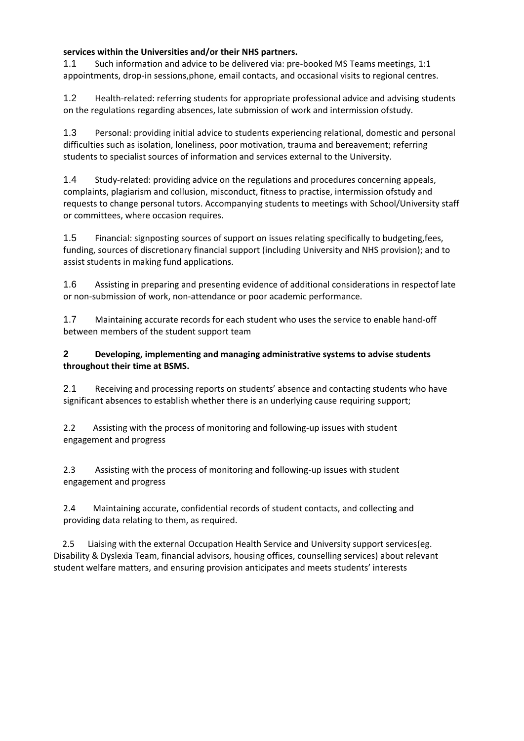#### **services within the Universities and/or their NHS partners.**

1.1 Such information and advice to be delivered via: pre-booked MS Teams meetings, 1:1 appointments, drop-in sessions,phone, email contacts, and occasional visits to regional centres.

1.2 Health-related: referring students for appropriate professional advice and advising students on the regulations regarding absences, late submission of work and intermission ofstudy.

1.3 Personal: providing initial advice to students experiencing relational, domestic and personal difficulties such as isolation, loneliness, poor motivation, trauma and bereavement; referring students to specialist sources of information and services external to the University.

1.4 Study-related: providing advice on the regulations and procedures concerning appeals, complaints, plagiarism and collusion, misconduct, fitness to practise, intermission ofstudy and requests to change personal tutors. Accompanying students to meetings with School/University staff or committees, where occasion requires.

1.5 Financial: signposting sources of support on issues relating specifically to budgeting,fees, funding, sources of discretionary financial support (including University and NHS provision); and to assist students in making fund applications.

1.6 Assisting in preparing and presenting evidence of additional considerations in respectof late or non-submission of work, non-attendance or poor academic performance.

1.7 Maintaining accurate records for each student who uses the service to enable hand-off between members of the student support team

#### **2 Developing, implementing and managing administrative systems to advise students throughout their time at BSMS.**

2.1 Receiving and processing reports on students' absence and contacting students who have significant absences to establish whether there is an underlying cause requiring support;

2.2 Assisting with the process of monitoring and following-up issues with student engagement and progress

2.3 Assisting with the process of monitoring and following-up issues with student engagement and progress

2.4 Maintaining accurate, confidential records of student contacts, and collecting and providing data relating to them, as required.

 2.5 Liaising with the external Occupation Health Service and University support services(eg. Disability & Dyslexia Team, financial advisors, housing offices, counselling services) about relevant student welfare matters, and ensuring provision anticipates and meets students' interests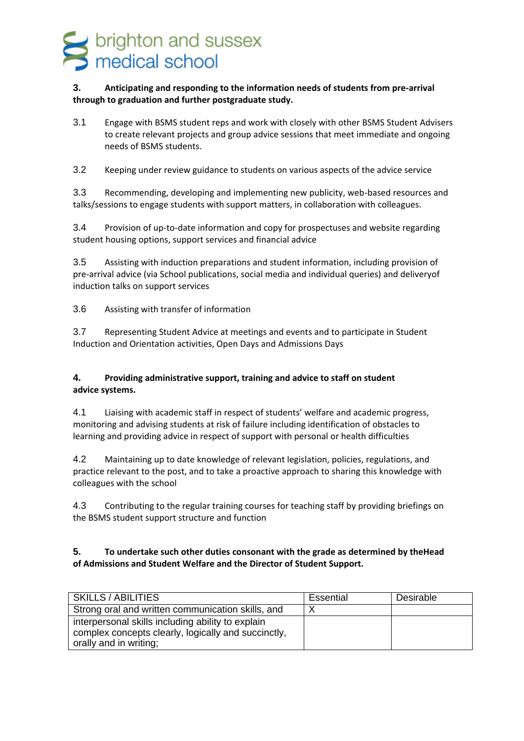# s brighton and sussex<br>medical school

#### **3. Anticipating and responding to the information needs of students from pre-arrival through to graduation and further postgraduate study.**

3.1 Engage with BSMS student reps and work with closely with other BSMS Student Advisers to create relevant projects and group advice sessions that meet immediate and ongoing needs of BSMS students.

3.2 Keeping under review guidance to students on various aspects of the advice service

3.3 Recommending, developing and implementing new publicity, web-based resources and talks/sessions to engage students with support matters, in collaboration with colleagues.

3.4 Provision of up-to-date information and copy for prospectuses and website regarding student housing options, support services and financial advice

3.5 Assisting with induction preparations and student information, including provision of pre-arrival advice (via School publications, social media and individual queries) and deliveryof induction talks on support services

3.6 Assisting with transfer of information

3.7 Representing Student Advice at meetings and events and to participate in Student Induction and Orientation activities, Open Days and Admissions Days

#### **4. Providing administrative support, training and advice to staff on student advice systems.**

4.1 Liaising with academic staff in respect of students' welfare and academic progress, monitoring and advising students at risk of failure including identification of obstacles to learning and providing advice in respect of support with personal or health difficulties

4.2 Maintaining up to date knowledge of relevant legislation, policies, regulations, and practice relevant to the post, and to take a proactive approach to sharing this knowledge with colleagues with the school

4.3 Contributing to the regular training courses for teaching staff by providing briefings on the BSMS student support structure and function

#### **5. To undertake such other duties consonant with the grade as determined by theHead of Admissions and Student Welfare and the Director of Student Support.**

| SKILLS / ABILITIES                                  | Essential | Desirable |
|-----------------------------------------------------|-----------|-----------|
| Strong oral and written communication skills, and   |           |           |
| interpersonal skills including ability to explain   |           |           |
| complex concepts clearly, logically and succinctly, |           |           |
| orally and in writing;                              |           |           |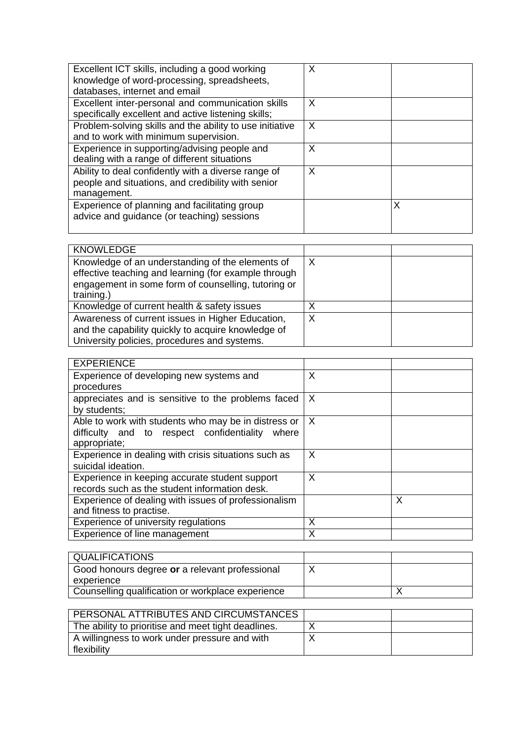| Excellent ICT skills, including a good working<br>knowledge of word-processing, spreadsheets,<br>databases, internet and email | X |   |
|--------------------------------------------------------------------------------------------------------------------------------|---|---|
| Excellent inter-personal and communication skills<br>specifically excellent and active listening skills;                       | X |   |
| Problem-solving skills and the ability to use initiative<br>and to work with minimum supervision.                              | X |   |
| Experience in supporting/advising people and<br>dealing with a range of different situations                                   | X |   |
| Ability to deal confidently with a diverse range of<br>people and situations, and credibility with senior<br>management.       | X |   |
| Experience of planning and facilitating group<br>advice and guidance (or teaching) sessions                                    |   | Χ |

| <b>KNOWLEDGE</b>                                                                                                                                                              |   |  |
|-------------------------------------------------------------------------------------------------------------------------------------------------------------------------------|---|--|
| Knowledge of an understanding of the elements of<br>effective teaching and learning (for example through<br>engagement in some form of counselling, tutoring or<br>training.) |   |  |
| Knowledge of current health & safety issues                                                                                                                                   | v |  |
| Awareness of current issues in Higher Education,<br>and the capability quickly to acquire knowledge of<br>University policies, procedures and systems.                        | Χ |  |

| <b>EXPERIENCE</b>                                    |   |   |
|------------------------------------------------------|---|---|
| Experience of developing new systems and             | X |   |
| procedures                                           |   |   |
| appreciates and is sensitive to the problems faced   | X |   |
| by students;                                         |   |   |
| Able to work with students who may be in distress or | X |   |
| difficulty and to respect confidentiality<br>where   |   |   |
| appropriate;                                         |   |   |
| Experience in dealing with crisis situations such as | X |   |
| suicidal ideation.                                   |   |   |
| Experience in keeping accurate student support       | X |   |
| records such as the student information desk.        |   |   |
| Experience of dealing with issues of professionalism |   | X |
| and fitness to practise.                             |   |   |
| Experience of university regulations                 | X |   |
| Experience of line management                        | X |   |

| QUALIFICATIONS                                    |  |
|---------------------------------------------------|--|
| Good honours degree or a relevant professional    |  |
| experience                                        |  |
| Counselling qualification or workplace experience |  |

| PERSONAL ATTRIBUTES AND CIRCUMSTANCES               |  |
|-----------------------------------------------------|--|
| The ability to prioritise and meet tight deadlines. |  |
| A willingness to work under pressure and with       |  |
| flexibility                                         |  |